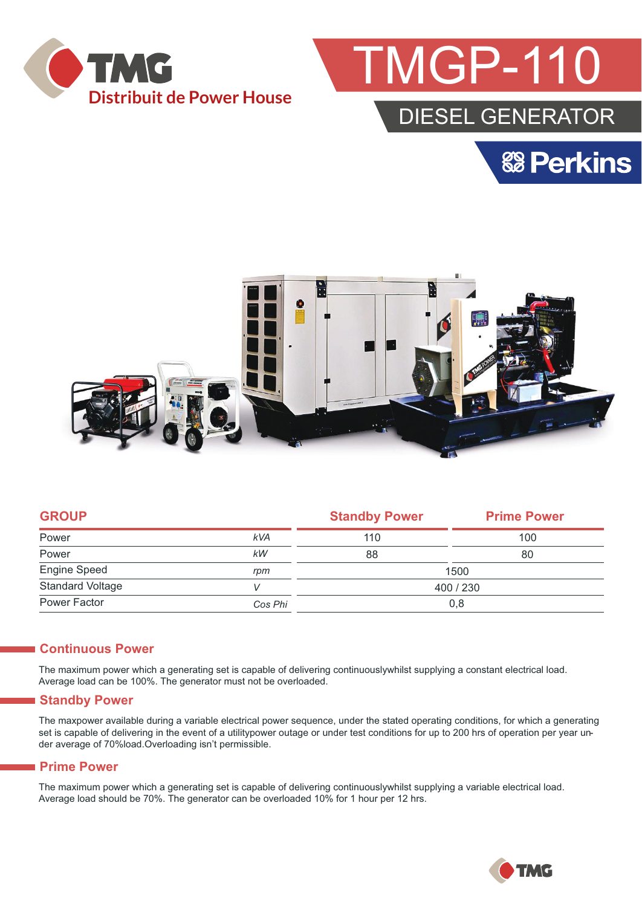



### DIESEL GENERATOR





|            | <b>Standby Power</b> | <b>Prime Power</b> |  |
|------------|----------------------|--------------------|--|
| <b>kVA</b> | 110                  | 100                |  |
| kW         | 88                   | 80                 |  |
| rpm        | 1500                 |                    |  |
|            | 400 / 230            |                    |  |
| Cos Phi    | 0,8                  |                    |  |
|            |                      |                    |  |

#### **Continuous Power**

The maximum power which a generating set is capable of delivering continuouslywhilst supplying a constant electrical load. Average load can be 100%. The generator must not be overloaded.

#### **Standby Power**

The maxpower available during a variable electrical power sequence, under the stated operating conditions, for which a generating set is capable of delivering in the event of a utilitypower outage or under test conditions for up to 200 hrs of operation per year under average of 70%load.Overloading isn't permissible.

#### **Prime Power**

The maximum power which a generating set is capable of delivering continuouslywhilst supplying a variable electrical load. Average load should be 70%. The generator can be overloaded 10% for 1 hour per 12 hrs.

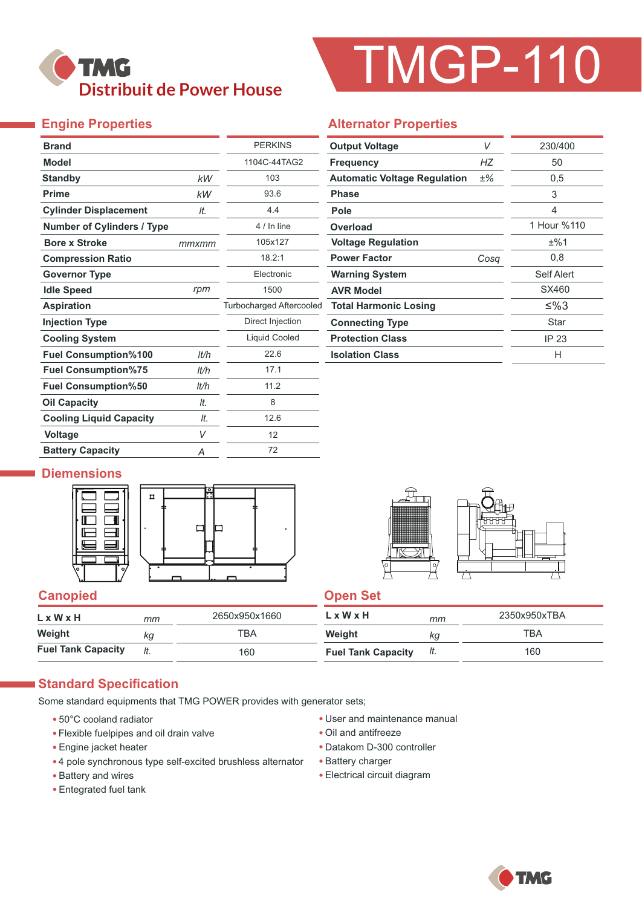

# TMGP-110

#### **Engine Properties**

| <b>Brand</b>                      |       | <b>PERKINS</b>                  |
|-----------------------------------|-------|---------------------------------|
| <b>Model</b>                      |       | 1104C-44TAG2                    |
| <b>Standby</b>                    | kW    | 103                             |
| <b>Prime</b>                      | kW    | 93.6                            |
| <b>Cylinder Displacement</b>      | It.   | 4.4                             |
| <b>Number of Cylinders / Type</b> |       | 4 / In line                     |
| <b>Bore x Stroke</b>              | mmxmm | 105x127                         |
| <b>Compression Ratio</b>          |       | 18.2:1                          |
| <b>Governor Type</b>              |       | Electronic                      |
| <b>Idle Speed</b>                 | rpm   | 1500                            |
| <b>Aspiration</b>                 |       | <b>Turbocharged Aftercooled</b> |
| <b>Injection Type</b>             |       | Direct Injection                |
| <b>Cooling System</b>             |       | Liquid Cooled                   |
| <b>Fuel Consumption%100</b>       | It/h  | 22.6                            |
| <b>Fuel Consumption%75</b>        | lt/h  | 17.1                            |
| <b>Fuel Consumption%50</b>        | lt/h  | 11.2                            |
| <b>Oil Capacity</b>               | It.   | 8                               |
| <b>Cooling Liquid Capacity</b>    | It.   | 12.6                            |
| Voltage                           | V     | 12                              |
| <b>Battery Capacity</b>           | Α     | 72                              |

|  | <b>Alternator Properties</b> |
|--|------------------------------|
|--|------------------------------|

| <b>Output Voltage</b>               | V     | 230/400     |
|-------------------------------------|-------|-------------|
| <b>Frequency</b>                    | НZ    | 50          |
| <b>Automatic Voltage Regulation</b> | $±\%$ | 0,5         |
| <b>Phase</b>                        |       | 3           |
| Pole                                |       | 4           |
| Overload                            |       | 1 Hour %110 |
| <b>Voltage Regulation</b>           |       | ±%1         |
| <b>Power Factor</b>                 | Cosa  | 0,8         |
| <b>Warning System</b>               |       | Self Alert  |
| <b>AVR Model</b>                    |       | SX460       |
| <b>Total Harmonic Losing</b>        |       | ≤%3         |
| <b>Connecting Type</b>              |       | Star        |
| <b>Protection Class</b>             |       | IP 23       |
| <b>Isolation Class</b>              |       | Н           |

#### **Diemensions**





#### **Canopied Canopied Canopied Canopied Canopied Canopied Canopied Canopied Canopied Canopied Canopied Canopied Canopied Canopied Canopied Canopied Canopied Canopied Canopied Canopied Canopied Canopied Canopied Canopied Canop**

| LxWxH                     | mm  | 2650x950x1660 | $L \times W \times H$     | mm  | 2350x950xTBA |
|---------------------------|-----|---------------|---------------------------|-----|--------------|
| Weight                    | kg  | <b>TBA</b>    | Weight                    | Кq  | TBA          |
| <b>Fuel Tank Capacity</b> | It. | 160           | <b>Fuel Tank Capacity</b> | It. | 160          |

#### **Standard Specification**

Some standard equipments that TMG POWER provides with generator sets;

- 50°C cooland radiator
- Flexible fuelpipes and oil drain valve
- Engine jacket heater
- 4 pole synchronous type self-excited brushless alternator
- Battery and wires
- Entegrated fuel tank
- User and maintenance manual
- Oil and antifreeze
- Datakom D-300 controller
- Battery charger
- Electrical circuit diagram